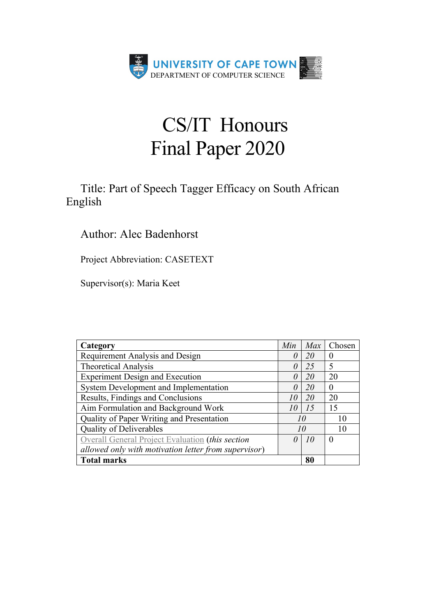

# CS/IT Honours Final Paper 2020

## Title: Part of Speech Tagger Efficacy on South African English

### Author: Alec Badenhorst

Project Abbreviation: CASETEXT

Supervisor(s): Maria Keet

| Category                                             | Min      | Max | Chosen   |
|------------------------------------------------------|----------|-----|----------|
| Requirement Analysis and Design                      | $\theta$ | 20  |          |
| <b>Theoretical Analysis</b>                          | $\theta$ | 25  | 5        |
| <b>Experiment Design and Execution</b>               | $\theta$ | 20  | 20       |
| System Development and Implementation                | $\theta$ | 20  | $\theta$ |
| Results, Findings and Conclusions                    | 10       | 20  | 20       |
| Aim Formulation and Background Work                  | 10       | 15  | 15       |
| Quality of Paper Writing and Presentation            | 10       |     | 10       |
| Quality of Deliverables                              | 10       |     | 10       |
| Overall General Project Evaluation (this section     | $\theta$ | 10  | $\theta$ |
| allowed only with motivation letter from supervisor) |          |     |          |
| <b>Total marks</b>                                   |          | 80  |          |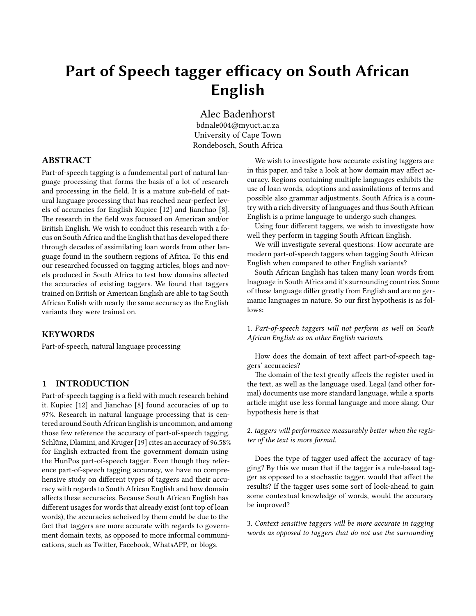## **Part of Speech tagger efficacy on South African English**

Alec Badenhorst

bdnale004@myuct.ac.za University of Cape Town Rondebosch, South Africa

#### **ABSTRACT**

Part-of-speech tagging is a fundemental part of natural language processing that forms the basis of a lot of research and processing in the field. It is a mature sub-field of natural language processing that has reached near-perfect levels of accuracies for English Kupiec[[12](#page-5-0)] and Jianchao [\[8\]](#page-5-0). The research in the field was focussed on American and/or British English. We wish to conduct this research with a focus on South Africa and the English that has developed there through decades of assimilating loan words from other language found in the southern regions of Africa. To this end our researched focussed on tagging articles, blogs and novels produced in South Africa to test how domains affected the accuracies of existing taggers. We found that taggers trained on British or American English are able to tag South African Enlish with nearly the same accuracy as the English variants they were trained on.

#### **KEYWORDS**

Part-of-speech, natural language processing

#### **1 INTRODUCTION**

Part-of-speech tagging is a field with much research behind it. Kupiec [\[12\]](#page-5-0) and Jianchao[[8](#page-5-0)] found accuracies of up to 97%. Research in natural language processing that is centered around South African English is uncommon, and among those few reference the accuracy of part-of-speech tagging. Schlünz, Dlamini, and Kruger[[19\]](#page-5-0) cites an accuracy of 96.58% for English extracted from the government domain using the HunPos part-of-speech tagger. Even though they reference part-of-speech tagging accuracy, we have no comprehensive study on different types of taggers and their accuracy with regards to South African English and how domain affects these accuracies. Because South African English has different usages for words that already exist (ont top of loan words), the accuracies acheived by them could be due to the fact that taggers are more accurate with regards to government domain texts, as opposed to more informal communications, such as Twitter, Facebook, WhatsAPP, or blogs.

We wish to investigate how accurate existing taggers are in this paper, and take a look at how domain may affect accuracy. Regions containing multiple languages exhibits the use of loan words, adoptions and assimilations of terms and possible also grammar adjustments. South Africa is a country with a rich diversity of languages and thus South African English is a prime language to undergo such changes.

Using four different taggers, we wish to investigate how well they perform in tagging South African English.

We will investigate several questions: How accurate are modern part-of-speech taggers when tagging South African English when compared to other English variants?

South African English has taken many loan words from lnaguage in South Africa and it's surrounding countries. Some of these language differ greatly from English and are no germanic languages in nature. So our first hypothesis is as follows:

1. *Part-of-speech taggers will not perform as well on South African English as on other English variants*.

How does the domain of text affect part-of-speech taggers' accuracies?

The domain of the text greatly affects the register used in the text, as well as the language used. Legal (and other formal) documents use more standard language, while a sports article might use less formal language and more slang. Our hypothesis here is that

#### 2. *taggers will performance measurably better when the register of the text is more formal*.

Does the type of tagger used affect the accuracy of tagging? By this we mean that if the tagger is a rule-based tagger as opposed to a stochastic tagger, would that affect the results? If the tagger uses some sort of look-ahead to gain some contextual knowledge of words, would the accuracy be improved?

3. *Context sensitive taggers will be more accurate in tagging words as opposed to taggers that do not use the surrounding*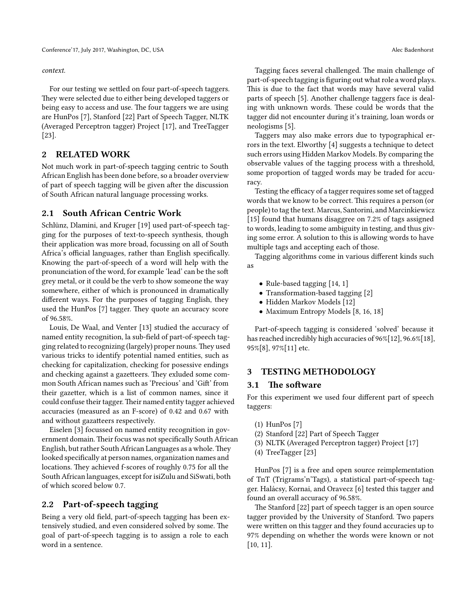#### *context.*

For our testing we settled on four part-of-speech taggers. They were selected due to either being developed taggers or being easy to access and use. The four taggers we are using are HunPos [\[7\]](#page-5-0), Stanford[[22](#page-5-0)] Part of Speech Tagger, NLTK (Averaged Perceptron tagger) Project [\[17](#page-5-0)], and TreeTagger [\[23\]](#page-6-0).

#### **2 RELATED WORK**

Not much work in part-of-speech tagging centric to South African English has been done before, so a broader overview of part of speech tagging will be given after the discussion of South African natural language processing works.

#### **2.1 South African Centric Work**

Schlünz, Dlamini, and Kruger[[19](#page-5-0)] used part-of-speech tagging for the purposes of text-to-speech synthesis, though their application was more broad, focussing on all of South Africa's official languages, rather than English specifically. Knowing the part-of-speech of a word will help with the pronunciation of the word, for example 'lead' can be the soft grey metal, or it could be the verb to show someone the way somewhere, either of which is pronounced in dramatically different ways. For the purposes of tagging English, they used the HunPos [\[7\]](#page-5-0) tagger. They quote an accuracy score of 96.58%.

Louis, De Waal, and Venter[[13\]](#page-5-0) studied the accuracy of named entity recognition, la sub-field of part-of-speech tagging related to recognizing (largely) proper nouns.They used various tricks to identify potential named entities, such as checking for capitalization, checking for posessive endings and checking against a gazetteers. They exluded some common South African names such as 'Precious' and 'Gift' from their gazetter, which is a list of common names, since it could confuse their tagger.Their named entity tagger achieved accuracies (measured as an F-score) of 0.42 and 0.67 with and without gazatteers respectively.

Eiselen [\[3\]](#page-5-0) focussed on named entity recognition in government domain.Their focus was not specifically South African English, but rather South African Languages as a whole.They looked specifically at person names, organization names and locations. They achieved f-scores of roughly 0.75 for all the South African languages, except for isiZulu and SiSwati, both of which scored below 0.7.

#### **2.2 Part-of-speech tagging**

Being a very old field, part-of-speech tagging has been extensively studied, and even considered solved by some. The goal of part-of-speech tagging is to assign a role to each word in a sentence.

Tagging faces several challenged. The main challenge of part-of-speech tagging is figuring out what role a word plays. This is due to the fact that words may have several valid parts of speech[[5](#page-5-0)]. Another challenge taggers face is dealing with unknown words. These could be words that the tagger did not encounter during it's training, loan words or neologisms[[5\]](#page-5-0).

Taggers may also make errors due to typographical errors in the text. Elworthy [\[4\]](#page-5-0) suggests a technique to detect such errors using Hidden Markov Models. By comparing the observable values of the tagging process with a threshold, some proportion of tagged words may be traded for accuracy.

Testing the efficacy of a tagger requires some set of tagged words that we know to be correct. This requires a person (or people) to tag the text. Marcus, Santorini, and Marcinkiewicz [[15\]](#page-5-0) found that humans disaggree on 7.2% of tags assigned to words, leading to some ambiguity in testing, and thus giving some error. A solution to this is allowing words to have multiple tags and accepting each of those.

Tagging algorithms come in various different kinds such as

- Rule-based tagging [\[14](#page-5-0), [1\]](#page-5-0)
- •Transformation-based tagging [[2](#page-5-0)]
- Hidden Markov Models [\[12\]](#page-5-0)
- Maximum Entropy Models [\[8,](#page-5-0) [16,](#page-5-0) [18\]](#page-5-0)

Part-of-speech tagging is considered 'solved' because it has reached incredibly high accuracies of 96%[\[12](#page-5-0)], 96.6%[[18\]](#page-5-0), 95%[\[8\]](#page-5-0), 97%[\[11](#page-5-0)] etc.

#### **3 TESTING METHODOLOGY**

#### **3.1 The software**

For this experiment we used four different part of speech taggers:

- (1) HunPos[[7](#page-5-0)]
- (2) Stanford [\[22](#page-5-0)] Part of Speech Tagger
- (3) NLTK (Averaged Perceptron tagger) Project[[17](#page-5-0)]
- (4) TreeTagger [\[23\]](#page-6-0)

HunPos[[7\]](#page-5-0) is a free and open source reimplementation of TnT (Trigrams'n'Tags), a statistical part-of-speech tagger. Halácsy, Kornai, and Oravecz [\[6\]](#page-5-0) tested this tagger and found an overall accuracy of 96.58%.

The Stanford[[22\]](#page-5-0) part of speech tagger is an open source tagger provided by the University of Stanford. Two papers were written on this tagger and they found accuracies up to 97% depending on whether the words were known or not [[10,](#page-5-0) [11\]](#page-5-0).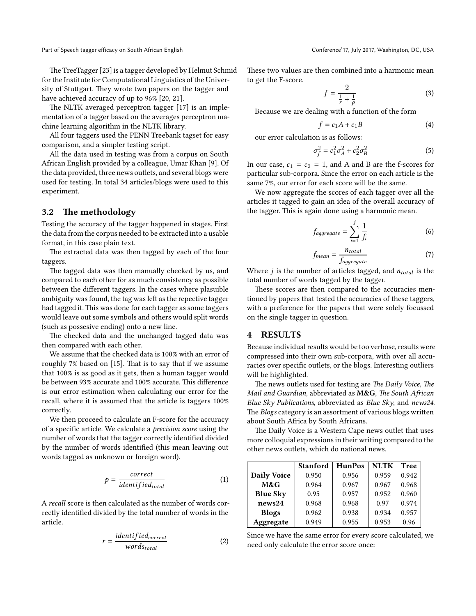Part of Speech tagger efficacy on South African English Conference'17, July 2017, Washington, DC, USA

The TreeTagger[[23\]](#page-6-0) is a tagger developed by Helmut Schmid for the Institute for Computational Linguistics of the University of Stuttgart. They wrote two papers on the tagger and have achieved accuracy of up to 96% [\[20](#page-5-0), [21](#page-5-0)].

The NLTK averaged perceptron tagger [\[17](#page-5-0)] is an implementation of a tagger based on the averages perceptron machine learning algorithm in the NLTK library.

All four taggers used the PENN Treebank tagset for easy comparison, and a simpler testing script.

All the data used in testing was from a corpus on South African English provided by a colleague, Umar Khan [\[9\]](#page-5-0). Of the data provided, three news outlets, and several blogs were used for testing. In total 34 articles/blogs were used to this experiment.

#### **3.2 The methodology**

Testing the accuracy of the tagger happened in stages. First the data from the corpus needed to be extracted into a usable format, in this case plain text.

The extracted data was then tagged by each of the four taggers.

The tagged data was then manually checked by us, and compared to each other for as much consistency as possible between the different taggers. In the cases where plasuible ambiguity was found, the tag was left as the repective tagger had tagged it. This was done for each tagger as some taggers would leave out some symbols and others would split words (such as possesive ending) onto a new line.

The checked data and the unchanged tagged data was then compared with each other.

We assume that the checked data is 100% with an error of roughly 7% based on [\[15\]](#page-5-0). That is to say that if we assume that 100% is as good as it gets, then a human tagger would be between 93% accurate and 100% accurate. This difference is our error estimation when calculating our error for the recall, where it is assumed that the article is taggers 100% correctly.

We then proceed to calculate an F-score for the accuracy of a specific article. We calculate a *precision score* using the number of words that the tagger correctly identified divided by the number of words identified (this mean leaving out words tagged as unknown or foreign word).

$$
p = \frac{correct}{identified_{total}} \tag{1}
$$

A *recall* score is then calculated as the number of words correctly identified divided by the total number of words in the article.

$$
r = \frac{identified_{correct}}{words_{total}}
$$
 (2)

These two values are then combined into a harmonic mean to get the F-score.

$$
f = \frac{2}{\frac{1}{r} + \frac{1}{p}}\tag{3}
$$

Because we are dealing with a function of the form

$$
f = c_1 A + c_1 B \tag{4}
$$

our error calculation is as follows:

$$
\sigma_f^2 = c_1^2 \sigma_A^2 + c_2^2 \sigma_B^2 \tag{5}
$$

In our case,  $c_1 = c_2 = 1$ , and A and B are the f-scores for particular sub-corpora. Since the error on each article is the same 7%, our error for each score will be the same.

We now aggregate the scores of each tagger over all the articles it tagged to gain an idea of the overall accuracy of the tagger. This is again done using a harmonic mean.

$$
f_{aggregate} = \sum_{i=1}^{j} \frac{1}{f_i}
$$
 (6)

$$
f_{mean} = \frac{n_{total}}{f_{aggregate}} \tag{7}
$$

Where  $j$  is the number of articles tagged, and  $n_{total}$  is the total number of words tagged by the tagger.

These scores are then compared to the accuracies mentioned by papers that tested the accuracies of these taggers, with a preference for the papers that were solely focussed on the single tagger in question.

#### **4 RESULTS**

Because individual results would be too verbose, results were compressed into their own sub-corpora, with over all accuracies over specific outlets, or the blogs. Interesting outliers will be highlighted.

The news outlets used for testing are *The Daily Voice*, *The Mail and Guardian*, abbreviated as **M&G**, *The South African Blue Sky Publications*, abbreviated as *Blue Sky*, and *news24*. The *Blogs* category is an assortment of various blogs written about South Africa by South Africans.

The Daily Voice is a Western Cape news outlet that uses more colloquial expressions in their writing compared to the other news outlets, which do national news.

|                    | <b>Stanford</b> | <b>HunPos</b> | <b>NLTK</b> | <b>Tree</b> |
|--------------------|-----------------|---------------|-------------|-------------|
| <b>Daily Voice</b> | 0.950           | 0.956         | 0.959       | 0.942       |
| M&G                | 0.964           | 0.967         | 0.967       | 0.968       |
| <b>Blue Sky</b>    | 0.95            | 0.957         | 0.952       | 0.960       |
| news24             | 0.968           | 0.968         | 0.97        | 0.974       |
| <b>Blogs</b>       | 0.962           | 0.938         | 0.934       | 0.957       |
| Aggregate          | 0.949           | 0.955         | 0.953       | 0.96        |

Since we have the same error for every score calculated, we need only calculate the error score once: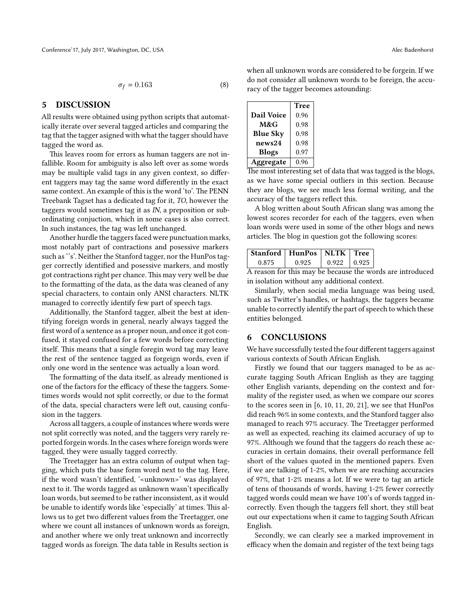$$
\sigma_f = 0.163\tag{8}
$$

#### **5 DISCUSSION**

All results were obtained using python scripts that automatically iterate over several tagged articles and comparing the tag that the tagger asigned with what the tagger should have tagged the word as.

This leaves room for errors as human taggers are not infallible. Room for ambiguity is also left over as some words may be multiple valid tags in any given context, so different taggers may tag the same word differently in the exact same context. An example of this is the word 'to'. The PENN Treebank Tagset has a dedicated tag for it, *TO*, however the taggers would sometimes tag it as *IN*, a preposition or subordinating conjuction, which in some cases is also correct. In such instances, the tag was left unchanged.

Another hurdle the taggers faced were punctuation marks, most notably part of contractions and posessive markers such as ''s'. Neither the Stanford tagger, nor the HunPos tagger correctly identified and posessive markers, and mostly got contractions right per chance. This may very well be due to the formatting of the data, as the data was cleaned of any special characters, to contain only ANSI characters. NLTK managed to correctly identify few part of speech tags.

Additionally, the Stanford tagger, albeit the best at identifying foreign words in general, nearly always tagged the first word of a sentence as a proper noun, and once it got confused, it stayed confused for a few words before correcting itself. This means that a single foregin word tag may leave the rest of the sentence tagged as forgeign words, even if only one word in the sentence was actually a loan word.

The formatting of the data itself, as already mentioned is one of the factors for the efficacy of these the taggers. Sometimes words would not split correctly, or due to the format of the data, special characters were left out, causing confusion in the taggers.

Across all taggers, a couple of instances where words were not split correctly was noted, and the taggers very rarely reported forgein words. In the cases where foreign words were tagged, they were usually tagged correctly.

The Treetagger has an extra column of output when tagging, which puts the base form word next to the tag. Here, if the word wasn't identified, '<unknown>' was displayed next to it. The words tagged as unknown wasn't specifically loan words, but seemed to be rather inconsistent, as it would be unable to identify words like 'especially' at times. This allows us to get two different values from the Treetagger, one where we count all instances of unknown words as foreign, and another where we only treat unknown and incorrectly tagged words as foreign. The data table in Results section is

when all unknown words are considered to be forgein. If we do not consider all unknown words to be foreign, the accuracy of the tagger becomes astounding:

|                 | Tree |  |
|-----------------|------|--|
| Dail Voice      | 0.96 |  |
| M&G             | 0.98 |  |
| <b>Blue Sky</b> | 0.98 |  |
| news24          | 0.98 |  |
| <b>Blogs</b>    | 0.97 |  |
| ggregate        | 0.96 |  |

The most interesting set of data that was tagged is the blogs, as we have some special outliers in this section. Because they are blogs, we see much less formal writing, and the accuracy of the taggers reflect this.

A blog written about South African slang was among the lowest scores recorder for each of the taggers, even when loan words were used in some of the other blogs and news articles. The blog in question got the following scores:

| Stanford   HunPos   NLTK   Tree |       |       |        |
|---------------------------------|-------|-------|--------|
| 0.875                           | 0.925 | 0.922 | 10.925 |

A reason for this may be because the words are introduced in isolation without any additional context.

Similarly, when social media language was being used, such as Twitter's handles, or hashtags, the taggers became unable to correctly identify the part of speech to which these entities belonged.

#### **6 CONCLUSIONS**

We have successfully tested the four different taggers against various contexts of South African English.

Firstly we found that our taggers managed to be as accurate tagging South African English as they are tagging other English variants, depending on the context and formality of the register used, as when we compare our scores to the scores seen in [\[6](#page-5-0), [10](#page-5-0), [11](#page-5-0), [20,](#page-5-0) [21\]](#page-5-0), we see that HunPos did reach 96% in some contexts, and the Stanford tagger also managed to reach 97% accuracy. The Treetagger performed as well as expected, reaching its claimed accuracy of up to 97%. Although we found that the taggers do reach these accuracies in certain domains, their overall performance fell short of the values quoted in the mentioned papers. Even if we are talking of 1-2%, when we are reaching accuracies of 97%, that 1-2% means a lot. If we were to tag an article of tens of thousands of words, having 1-2% fewer correctly tagged words could mean we have 100's of words tagged incorrectly. Even though the taggers fell short, they still beat out our expectations when it came to tagging South African English.

Secondly, we can clearly see a marked improvement in efficacy when the domain and register of the text being tags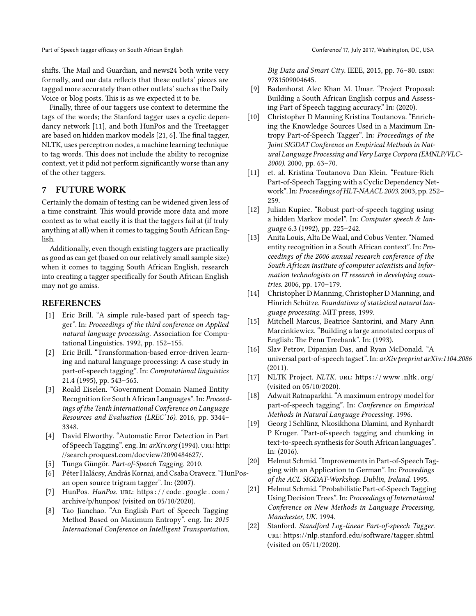<span id="page-5-0"></span>Part of Speech tagger efficacy on South African English Conference'17, July 2017, Washington, DC, USA

shifts. The Mail and Guardian, and news24 both write very formally, and our data reflects that these outlets' pieces are tagged more accurately than other outlets' such as the Daily Voice or blog posts. This is as we expected it to be.

Finally, three of our taggers use context to determine the tags of the words; the Stanford tagger uses a cyclic dependancy network [11], and both HunPos and the Treetagger are based on hidden markov models [21, 6]. The final tagger, NLTK, uses perceptron nodes, a machine learning technique to tag words. This does not include the ability to recognize context, yet it pdid not perform significantly worse than any of the other taggers.

#### **7 FUTURE WORK**

Certainly the domain of testing can be widened given less of a time constraint. This would provide more data and more context as to what eactly it is that the taggers fail at (if truly anything at all) when it comes to tagging South African English.

Additionally, even though existing taggers are practically as good as can get (based on our relatively small sample size) when it comes to tagging South African English, research into creating a tagger specifically for South African English may not go amiss.

#### **REFERENCES**

- [1] Eric Brill. "A simple rule-based part of speech tagger". In: *Proceedings of the third conference on Applied natural language processing*. Association for Computational Linguistics. 1992, pp. 152–155.
- [2] Eric Brill. "Transformation-based error-driven learning and natural language processing: A case study in part-of-speech tagging". In: *Computational linguistics* 21.4 (1995), pp. 543–565.
- [3] Roald Eiselen. "Government Domain Named Entity Recognition for South African Languages". In: *Proceedings of the Tenth International Conference on Language Resources and Evaluation (LREC'16)*. 2016, pp. 3344– 3348.
- [4] David Elworthy. "Automatic Error Detection in Part of Speech Tagging". eng. In: *arXiv.org* (1994). uRl: [http:](http://search.proquest.com/docview/2090484627/) [//search.proquest.com/docview/2090484627/.](http://search.proquest.com/docview/2090484627/)
- [5] Tunga Güngör. *Part-of-Speech Tagging.* 2010.
- [6] Péter Halácsy, András Kornai, and Csaba Oravecz. "HunPosan open source trigram tagger". In: (2007).
- [7] HunPos. *HunPos*. uRl: [https : / / code . google . com /](https://code.google.com/archive/p/hunpos/) [archive/p/hunpos/](https://code.google.com/archive/p/hunpos/) (visited on 05/10/2020).
- [8] Tao Jianchao. "An English Part of Speech Tagging Method Based on Maximum Entropy". eng. In: *2015 International Conference on Intelligent Transportation,*

*Big Data and Smart City*. IEEE, 2015, pp. 76–80. isbn: 9781509004645.

- [9] Badenhorst Alec Khan M. Umar. "Project Proposal: Building a South African English corpus and Assessing Part of Speech tagging accuracy." In: (2020).
- [10] Christopher D Manning Kristina Toutanova. "Enriching the Knowledge Sources Used in a Maximum Entropy Part-of-Speech Tagger". In: *Proceedings of the Joint SIGDAT Conference on Empirical Methods in Natural Language Processing and Very Large Corpora (EMNLP/VLC-2000)*. 2000, pp. 63–70.
- [11] et. al. Kristina Toutanova Dan Klein. "Feature-Rich Part-of-Speech Tagging with a Cyclic Dependency Network". In: *Proceedings of HLT-NAACL 2003*. 2003, pp. 252– 259.
- [12] Julian Kupiec. "Robust part-of-speech tagging using a hidden Markov model". In: *Computer speech & language* 6.3 (1992), pp. 225–242.
- [13] Anita Louis, Alta De Waal, and Cobus Venter. "Named entity recognition in a South African context". In: *Proceedings of the 2006 annual research conference of the South African institute of computer scientists and information technologists on IT research in developing countries*. 2006, pp. 170–179.
- [14] Christopher D Manning, Christopher D Manning, and Hinrich Schütze. *Foundations of statistical natural language processing*. MIT press, 1999.
- [15] Mitchell Marcus, Beatrice Santorini, and Mary Ann Marcinkiewicz. "Building a large annotated corpus of English: The Penn Treebank". In: (1993).
- [16] Slav Petrov, Dipanjan Das, and Ryan McDonald. "A universal part-of-speech tagset". In: *arXiv preprint arXiv:1104.2086* (2011).
- [17] NLTK Project. *NLTK*. uRL: https://www.nltk.org/ (visited on 05/10/2020).
- [18] Adwait Ratnaparkhi. "A maximum entropy model for part-of-speech tagging". In: *Conference on Empirical Methods in Natural Language Processing*. 1996.
- [19] Georg I Schlünz, Nkosikhona Dlamini, and Rynhardt P Kruger. "Part-of-speech tagging and chunking in text-to-speech synthesis for South African languages". In: (2016).
- [20] Helmut Schmid. "Improvements in Part-of-Speech Tagging with an Application to German". In: *Proceedings of the ACL SIGDAT-Workshop. Dublin, Ireland.* 1995.
- [21] Helmut Schmid. "Probabilistic Part-of-Speech Tagging Using Decision Trees". In: *Proceedings of International Conference on New Methods in Language Processing, Manchester, UK.* 1994.
- [22] Stanford. *Standford Log-linear Part-of-speech Tagger*. uRl: <https://nlp.stanford.edu/software/tagger.shtml> (visited on 05/11/2020).